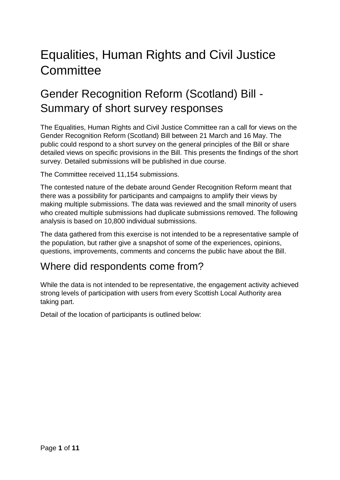# Equalities, Human Rights and Civil Justice **Committee**

## Gender Recognition Reform (Scotland) Bill - Summary of short survey responses

The Equalities, Human Rights and Civil Justice Committee ran a call for views on the Gender Recognition Reform (Scotland) Bill between 21 March and 16 May. The public could respond to a short survey on the general principles of the Bill or share detailed views on specific provisions in the Bill. This presents the findings of the short survey. Detailed submissions will be published in due course.

The Committee received 11,154 submissions.

The contested nature of the debate around Gender Recognition Reform meant that there was a possibility for participants and campaigns to amplify their views by making multiple submissions. The data was reviewed and the small minority of users who created multiple submissions had duplicate submissions removed. The following analysis is based on 10,800 individual submissions.

The data gathered from this exercise is not intended to be a representative sample of the population, but rather give a snapshot of some of the experiences, opinions, questions, improvements, comments and concerns the public have about the Bill.

### Where did respondents come from?

While the data is not intended to be representative, the engagement activity achieved strong levels of participation with users from every Scottish Local Authority area taking part.

Detail of the location of participants is outlined below: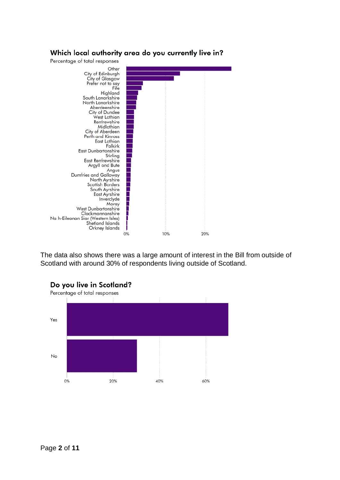

The data also shows there was a large amount of interest in the Bill from outside of Scotland with around 30% of respondents living outside of Scotland.



#### Do you live in Scotland?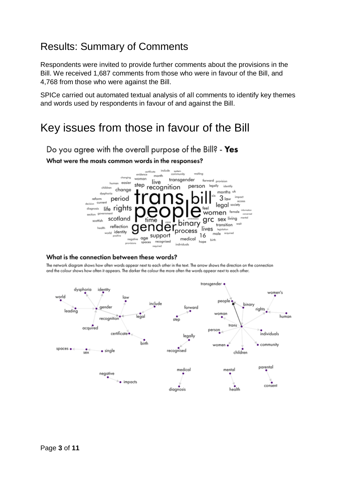### Results: Summary of Comments

Respondents were invited to provide further comments about the provisions in the Bill. We received 1,687 comments from those who were in favour of the Bill, and 4,768 from those who were against the Bill.

SPICe carried out automated textual analysis of all comments to identify key themes and words used by respondents in favour of and against the Bill.

### Key issues from those in favour of the Bill

Do you agree with the overall purpose of the Bill? - Yes What were the mosts common words in the responses?



#### What is the connection between these words?

The network diagram shows how often words appear next to each other in the text. The arrow shows the direction on the connection and the colour shows how often it appears. The darker the colour the more often the words appear next to each other.

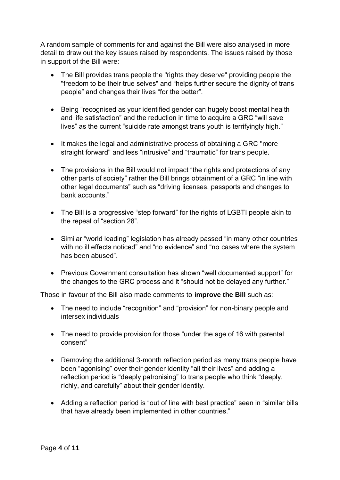A random sample of comments for and against the Bill were also analysed in more detail to draw out the key issues raised by respondents. The issues raised by those in support of the Bill were:

- The Bill provides trans people the "rights they deserve" providing people the "freedom to be their true selves" and "helps further secure the dignity of trans people" and changes their lives "for the better".
- Being "recognised as your identified gender can hugely boost mental health and life satisfaction" and the reduction in time to acquire a GRC "will save lives" as the current "suicide rate amongst trans youth is terrifyingly high."
- It makes the legal and administrative process of obtaining a GRC "more straight forward" and less "intrusive" and "traumatic" for trans people.
- The provisions in the Bill would not impact "the rights and protections of any other parts of society" rather the Bill brings obtainment of a GRC "in line with other legal documents" such as "driving licenses, passports and changes to bank accounts."
- The Bill is a progressive "step forward" for the rights of LGBTI people akin to the repeal of "section 28".
- Similar "world leading" legislation has already passed "in many other countries with no ill effects noticed" and "no evidence" and "no cases where the system has been abused".
- Previous Government consultation has shown "well documented support" for the changes to the GRC process and it "should not be delayed any further."

Those in favour of the Bill also made comments to **improve the Bill** such as:

- The need to include "recognition" and "provision" for non-binary people and intersex individuals
- The need to provide provision for those "under the age of 16 with parental consent"
- Removing the additional 3-month reflection period as many trans people have been "agonising" over their gender identity "all their lives" and adding a reflection period is "deeply patronising" to trans people who think "deeply, richly, and carefully" about their gender identity.
- Adding a reflection period is "out of line with best practice" seen in "similar bills that have already been implemented in other countries."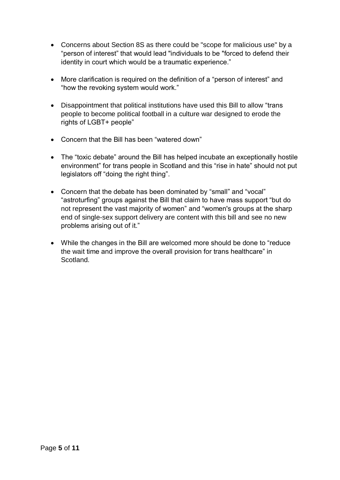- Concerns about Section 8S as there could be "scope for malicious use" by a "person of interest" that would lead "individuals to be "forced to defend their identity in court which would be a traumatic experience."
- More clarification is required on the definition of a "person of interest" and "how the revoking system would work."
- Disappointment that political institutions have used this Bill to allow "trans people to become political football in a culture war designed to erode the rights of LGBT+ people"
- Concern that the Bill has been "watered down"
- The "toxic debate" around the Bill has helped incubate an exceptionally hostile environment" for trans people in Scotland and this "rise in hate" should not put legislators off "doing the right thing".
- Concern that the debate has been dominated by "small" and "vocal" "astroturfing" groups against the Bill that claim to have mass support "but do not represent the vast majority of women" and "women's groups at the sharp end of single-sex support delivery are content with this bill and see no new problems arising out of it."
- While the changes in the Bill are welcomed more should be done to "reduce the wait time and improve the overall provision for trans healthcare" in Scotland.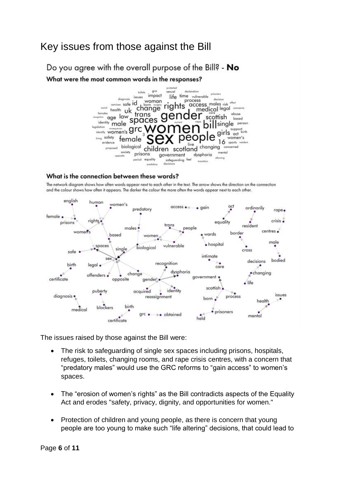### Key issues from those against the Bill

Do you agree with the overall purpose of the Bill? - No What were the most common words in the responses?



#### What is the connection between these words?



The network diagram shows how often words appear next to each other in the text. The arrow shows the direction on the connection and the colour shows how often it appears. The darker the colour the more often the words appear next to each other.

The issues raised by those against the Bill were:

- The risk to safeguarding of single sex spaces including prisons, hospitals, refuges, toilets, changing rooms, and rape crisis centres, with a concern that "predatory males" would use the GRC reforms to "gain access" to women's spaces.
- The "erosion of women's rights" as the Bill contradicts aspects of the Equality Act and erodes "safety, privacy, dignity, and opportunities for women."
- Protection of children and young people, as there is concern that young people are too young to make such "life altering" decisions, that could lead to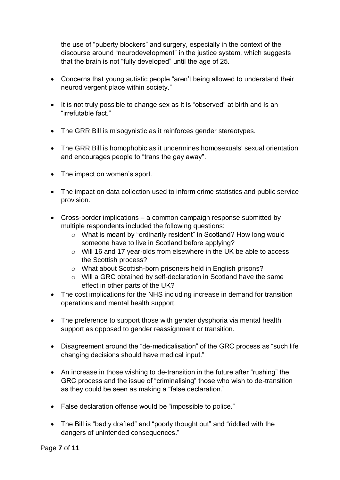the use of "puberty blockers" and surgery, especially in the context of the discourse around "neurodevelopment" in the justice system, which suggests that the brain is not "fully developed" until the age of 25.

- Concerns that young autistic people "aren't being allowed to understand their neurodivergent place within society."
- It is not truly possible to change sex as it is "observed" at birth and is an "irrefutable fact."
- The GRR Bill is misogynistic as it reinforces gender stereotypes.
- The GRR Bill is homophobic as it undermines homosexuals' sexual orientation and encourages people to "trans the gay away".
- The impact on women's sport.
- The impact on data collection used to inform crime statistics and public service provision.
- Cross-border implications a common campaign response submitted by multiple respondents included the following questions:
	- o What is meant by "ordinarily resident" in Scotland? How long would someone have to live in Scotland before applying?
	- o Will 16 and 17 year-olds from elsewhere in the UK be able to access the Scottish process?
	- o What about Scottish-born prisoners held in English prisons?
	- o Will a GRC obtained by self-declaration in Scotland have the same effect in other parts of the UK?
- The cost implications for the NHS including increase in demand for transition operations and mental health support.
- The preference to support those with gender dysphoria via mental health support as opposed to gender reassignment or transition.
- Disagreement around the "de-medicalisation" of the GRC process as "such life changing decisions should have medical input."
- An increase in those wishing to de-transition in the future after "rushing" the GRC process and the issue of "criminalising" those who wish to de-transition as they could be seen as making a "false declaration."
- False declaration offense would be "impossible to police."
- The Bill is "badly drafted" and "poorly thought out" and "riddled with the dangers of unintended consequences."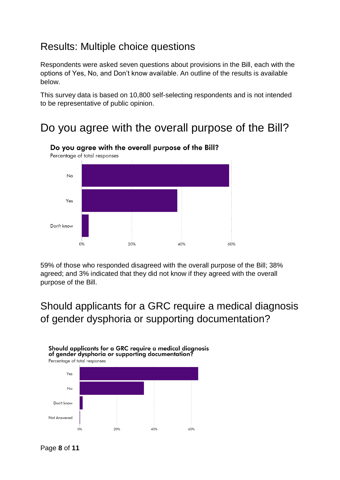### Results: Multiple choice questions

Respondents were asked seven questions about provisions in the Bill, each with the options of Yes, No, and Don't know available. An outline of the results is available below.

This survey data is based on 10,800 self-selecting respondents and is not intended to be representative of public opinion.

### Do you agree with the overall purpose of the Bill?



Do you agree with the overall purpose of the Bill?

59% of those who responded disagreed with the overall purpose of the Bill; 38% agreed; and 3% indicated that they did not know if they agreed with the overall purpose of the Bill.

### Should applicants for a GRC require a medical diagnosis of gender dysphoria or supporting documentation?



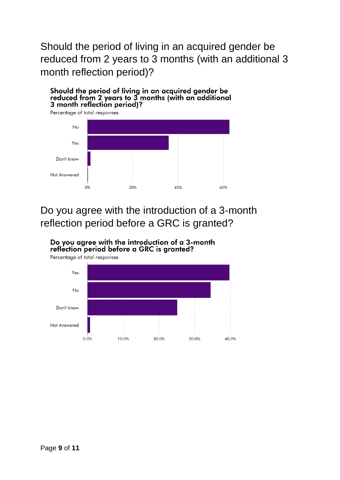Should the period of living in an acquired gender be reduced from 2 years to 3 months (with an additional 3 month reflection period)?

Should the period of living in an acquired gender be reduced from 2 years to 3 months (with an additional<br>3 month reflection period)?



### Do you agree with the introduction of a 3-month reflection period before a GRC is granted?

Do you agree with the introduction of a 3-month reflection period before a GRC is granted?

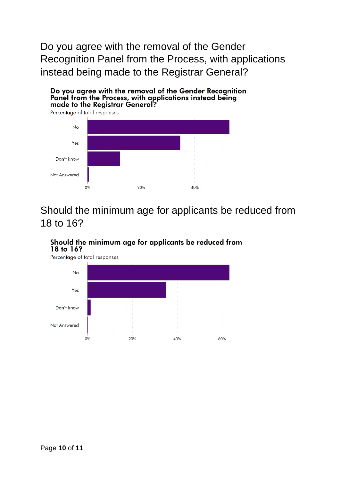Do you agree with the removal of the Gender Recognition Panel from the Process, with applications instead being made to the Registrar General?

Do you agree with the removal of the Gender Recognition Panel from the Process, with applications instead being made to the Registrar General?



Should the minimum age for applicants be reduced from 18 to 16?

#### Should the minimum age for applicants be reduced from 18 to 16?